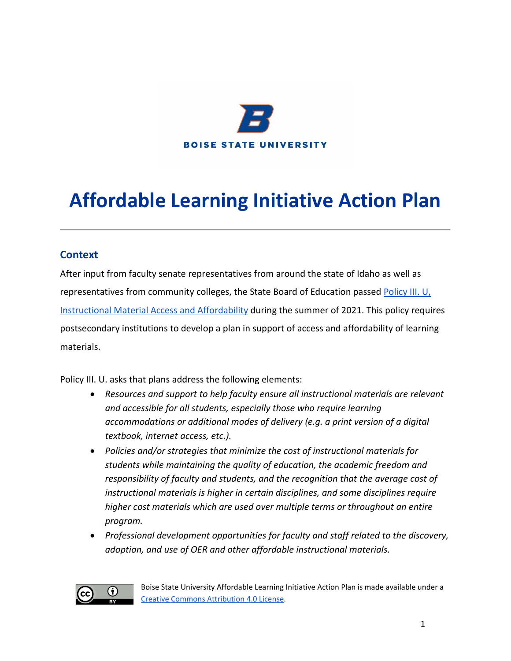

# **Affordable Learning Initiative Action Plan**

#### **Context**

After input from faculty senate representatives from around the state of Idaho as well as representatives from community colleges, the State Board of Education passed Policy III. U, [Instructional Material Access and Affordability](https://boardofed.idaho.gov/board-policies-rules/board-policies/higher-education-affairs-section-iii/iii-u-instructional-materials-access-and-affordability/) during the summer of 2021. This policy requires postsecondary institutions to develop a plan in support of access and affordability of learning materials.

Policy III. U. asks that plans address the following elements:

- *Resources and support to help faculty ensure all instructional materials are relevant and accessible for all students, especially those who require learning accommodations or additional modes of delivery (e.g. a print version of a digital textbook, internet access, etc.).*
- *Policies and/or strategies that minimize the cost of instructional materials for students while maintaining the quality of education, the academic freedom and responsibility of faculty and students, and the recognition that the average cost of instructional materials is higher in certain disciplines, and some disciplines require higher cost materials which are used over multiple terms or throughout an entire program.*
- *Professional development opportunities for faculty and staff related to the discovery, adoption, and use of OER and other affordable instructional materials.*

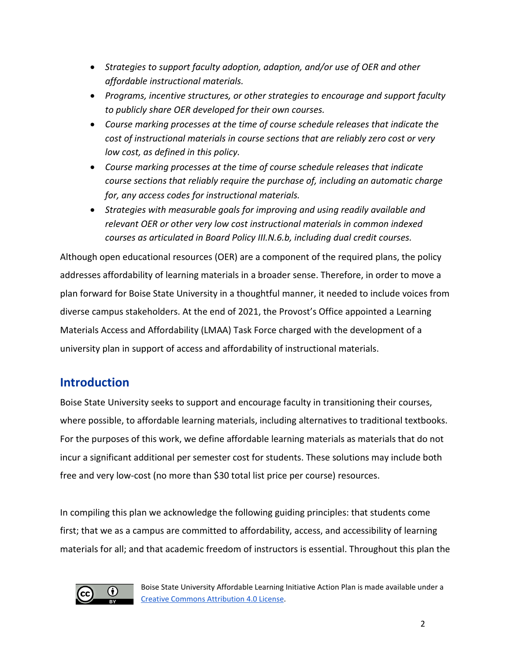- *Strategies to support faculty adoption, adaption, and/or use of OER and other affordable instructional materials.*
- *Programs, incentive structures, or other strategies to encourage and support faculty to publicly share OER developed for their own courses.*
- *Course marking processes at the time of course schedule releases that indicate the cost of instructional materials in course sections that are reliably zero cost or very low cost, as defined in this policy.*
- *Course marking processes at the time of course schedule releases that indicate course sections that reliably require the purchase of, including an automatic charge for, any access codes for instructional materials.*
- *Strategies with measurable goals for improving and using readily available and relevant OER or other very low cost instructional materials in common indexed courses as articulated in Board Policy III.N.6.b, including dual credit courses.*

Although open educational resources (OER) are a component of the required plans, the policy addresses affordability of learning materials in a broader sense. Therefore, in order to move a plan forward for Boise State University in a thoughtful manner, it needed to include voices from diverse campus stakeholders. At the end of 2021, the Provost's Office appointed a Learning Materials Access and Affordability (LMAA) Task Force charged with the development of a university plan in support of access and affordability of instructional materials.

## **Introduction**

Boise State University seeks to support and encourage faculty in transitioning their courses, where possible, to affordable learning materials, including alternatives to traditional textbooks. For the purposes of this work, we define affordable learning materials as materials that do not incur a significant additional per semester cost for students. These solutions may include both free and very low-cost (no more than \$30 total list price per course) resources.

In compiling this plan we acknowledge the following guiding principles: that students come first; that we as a campus are committed to affordability, access, and accessibility of learning materials for all; and that academic freedom of instructors is essential. Throughout this plan the



Boise State University Affordable Learning Initiative Action Plan is made available under a [Creative Commons Attribution 4.0 License.](https://creativecommons.org/licenses/by/4.0/)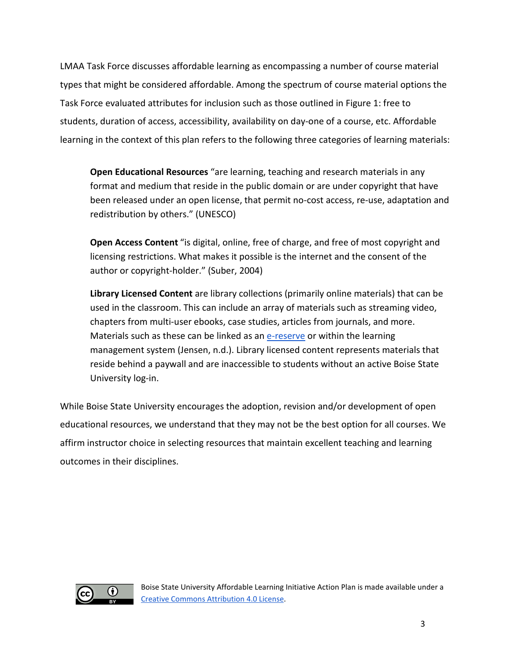LMAA Task Force discusses affordable learning as encompassing a number of course material types that might be considered affordable. Among the spectrum of course material options the Task Force evaluated attributes for inclusion such as those outlined in Figure 1: free to students, duration of access, accessibility, availability on day-one of a course, etc. Affordable learning in the context of this plan refers to the following three categories of learning materials:

**Open Educational Resources** "are learning, teaching and research materials in any format and medium that reside in the public domain or are under copyright that have been released under an open license, that permit no-cost access, re-use, adaptation and redistribution by others." (UNESCO)

**Open Access Content** "is digital, online, free of charge, and free of most copyright and licensing restrictions. What makes it possible is the internet and the consent of the author or copyright-holder." (Suber, 2004)

**Library Licensed Content** are library collections (primarily online materials) that can be used in the classroom. This can include an array of materials such as streaming video, chapters from multi-user ebooks, case studies, articles from journals, and more. Materials such as these can be linked as an [e-reserve](https://www.boisestate.edu/library/course-reserves/) or within the learning management system (Jensen, n.d.). Library licensed content represents materials that reside behind a paywall and are inaccessible to students without an active Boise State University log-in.

While Boise State University encourages the adoption, revision and/or development of open educational resources, we understand that they may not be the best option for all courses. We affirm instructor choice in selecting resources that maintain excellent teaching and learning outcomes in their disciplines.

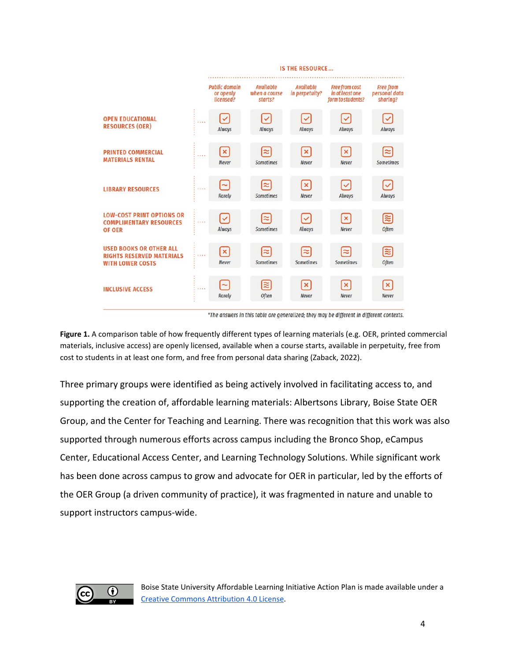|                                                                                               |       | <b>IS THE RESOURCE</b>                         |                                       |                                           |                                                               |                                               |
|-----------------------------------------------------------------------------------------------|-------|------------------------------------------------|---------------------------------------|-------------------------------------------|---------------------------------------------------------------|-----------------------------------------------|
|                                                                                               |       | <b>Public domain</b><br>or openly<br>licensed? | Available<br>when a course<br>starts? | Available<br>in perpetuity?               | <b>Free from cost</b><br>in at least one<br>form to students? | <b>Free from</b><br>personal data<br>sharing? |
| <b>OPEN EDUCATIONAL</b><br><b>RESOURCES (OER)</b>                                             |       | $\checkmark$<br>Always                         | $\checkmark$<br>Always                | $\blacktriangledown$<br>Always            | Ⅳ<br>Always                                                   | $\left[\checkmark\right]$<br>Always           |
| <b>PRINTED COMMERCIAL</b><br><b>MATERIALS RENTAL</b>                                          | 1.1.1 | $\left[\mathsf{x}\right]$<br><b>Never</b>      | ≈<br>Sometimes                        | $\left[\mathsf{x}\right]$<br><b>Never</b> | $\left[\mathsf{x}\right]$<br><b>Never</b>                     | [≈]<br><b>Sometimes</b>                       |
| <b>LIBRARY RESOURCES</b>                                                                      | .     | $\sim$<br><b>Rarely</b>                        | ≈<br><b>Sometimes</b>                 | $\left[\times\right]$<br><b>Never</b>     | $\left[\surd\right]$<br>Always                                | $\tilde{\mathcal{Q}}$<br>Always               |
| <b>LOW-COST PRINT OPTIONS OR</b><br><b>COMPLIMENTARY RESOURCES</b><br><b>OF OER</b>           |       | $\checkmark$<br>Always                         | $\approx$<br><b>Sometimes</b>         | $\checkmark$<br>Always                    | $\left[\times\right]$<br><b>Never</b>                         | 3<br><b>Often</b>                             |
| <b>USED BOOKS OR OTHER ALL</b><br><b>RIGHTS RESERVED MATERIALS</b><br><b>WITH LOWER COSTS</b> | .     | $\mathbf{x}$<br><b>Never</b>                   | $\approx$<br><b>Sometimes</b>         | ∣≈<br><b>Sometimes</b>                    | [≈<br>Sometimes                                               | 3<br><b>Often</b>                             |
| <b>INCLUSIVE ACCESS</b>                                                                       |       | $\sim$<br><b>Rarely</b>                        | ≊<br><b>Often</b>                     | $\left[\times\right]$<br><b>Never</b>     | $\bm{\mathsf{[x]}}$<br><b>Never</b>                           | $\boxtimes$<br><b>Never</b>                   |

\*The answers in this table are generalized; they may be different in different contexts.

**Figure 1.** A comparison table of how frequently different types of learning materials (e.g. OER, printed commercial materials, inclusive access) are openly licensed, available when a course starts, available in perpetuity, free from cost to students in at least one form, and free from personal data sharing (Zaback, 2022).

Three primary groups were identified as being actively involved in facilitating access to, and supporting the creation of, affordable learning materials: Albertsons Library, Boise State OER Group, and the Center for Teaching and Learning. There was recognition that this work was also supported through numerous efforts across campus including the Bronco Shop, eCampus Center, Educational Access Center, and Learning Technology Solutions. While significant work has been done across campus to grow and advocate for OER in particular, led by the efforts of the OER Group (a driven community of practice), it was fragmented in nature and unable to support instructors campus-wide.

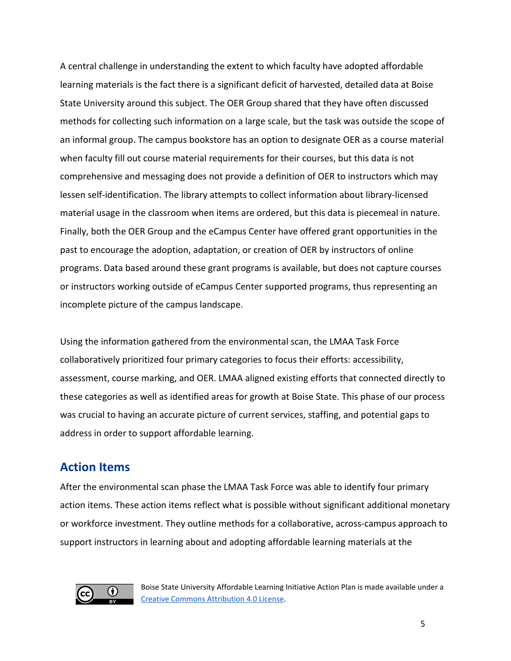A central challenge in understanding the extent to which faculty have adopted affordable learning materials is the fact there is a significant deficit of harvested, detailed data at Boise State University around this subject. The OER Group shared that they have often discussed methods for collecting such information on a large scale, but the task was outside the scope of an informal group. The campus bookstore has an option to designate OER as a course material when faculty fill out course material requirements for their courses, but this data is not comprehensive and messaging does not provide a definition of OER to instructors which may lessen self-identification. The library attempts to collect information about library-licensed material usage in the classroom when items are ordered, but this data is piecemeal in nature. Finally, both the OER Group and the eCampus Center have offered grant opportunities in the past to encourage the adoption, adaptation, or creation of OER by instructors of online programs. Data based around these grant programs is available, but does not capture courses or instructors working outside of eCampus Center supported programs, thus representing an incomplete picture of the campus landscape.

Using the information gathered from the environmental scan, the LMAA Task Force collaboratively prioritized four primary categories to focus their efforts: accessibility, assessment, course marking, and OER. LMAA aligned existing efforts that connected directly to these categories as well as identified areas for growth at Boise State. This phase of our process was crucial to having an accurate picture of current services, staffing, and potential gaps to address in order to support affordable learning.

## **Action Items**

After the environmental scan phase the LMAA Task Force was able to identify four primary action items. These action items reflect what is possible without significant additional monetary or workforce investment. They outline methods for a collaborative, across-campus approach to support instructors in learning about and adopting affordable learning materials at the

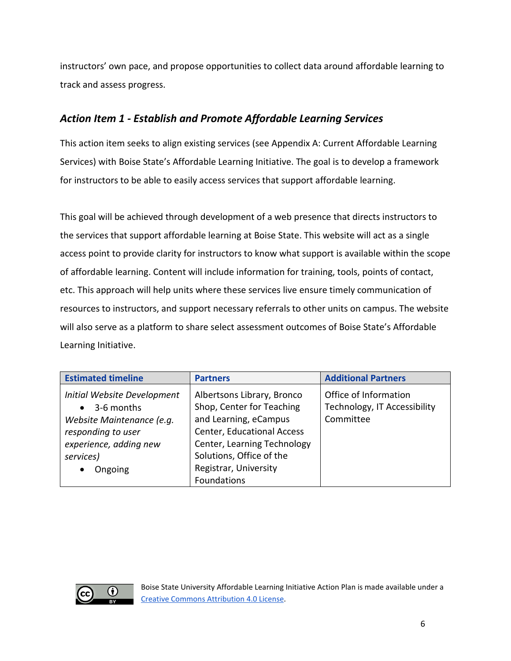instructors' own pace, and propose opportunities to collect data around affordable learning to track and assess progress.

## *Action Item 1 - Establish and Promote Affordable Learning Services*

This action item seeks to align existing services (see Appendix A: Current Affordable Learning Services) with Boise State's Affordable Learning Initiative. The goal is to develop a framework for instructors to be able to easily access services that support affordable learning.

This goal will be achieved through development of a web presence that directs instructors to the services that support affordable learning at Boise State. This website will act as a single access point to provide clarity for instructors to know what support is available within the scope of affordable learning. Content will include information for training, tools, points of contact, etc. This approach will help units where these services live ensure timely communication of resources to instructors, and support necessary referrals to other units on campus. The website will also serve as a platform to share select assessment outcomes of Boise State's Affordable Learning Initiative.

| <b>Estimated timeline</b>                                                                                                                      | <b>Partners</b>                                                                                                                                                                                                          | <b>Additional Partners</b>                                         |
|------------------------------------------------------------------------------------------------------------------------------------------------|--------------------------------------------------------------------------------------------------------------------------------------------------------------------------------------------------------------------------|--------------------------------------------------------------------|
| Initial Website Development<br>3-6 months<br>Website Maintenance (e.g.<br>responding to user<br>experience, adding new<br>services)<br>Ongoing | Albertsons Library, Bronco<br>Shop, Center for Teaching<br>and Learning, eCampus<br><b>Center, Educational Access</b><br>Center, Learning Technology<br>Solutions, Office of the<br>Registrar, University<br>Foundations | Office of Information<br>Technology, IT Accessibility<br>Committee |

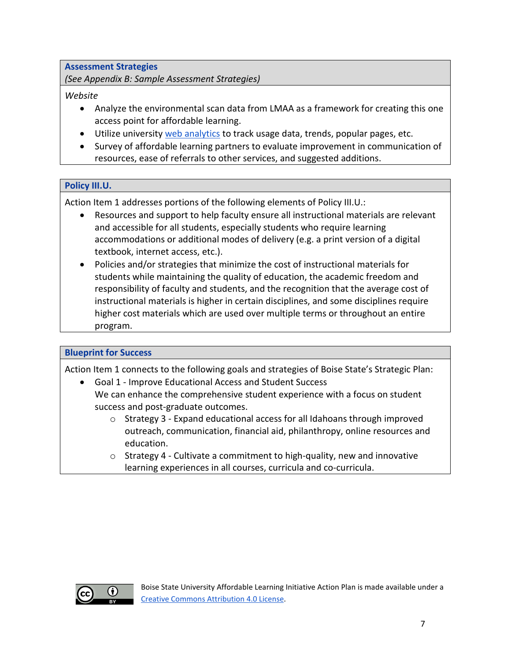**Assessment Strategies**

*(See Appendix B: Sample Assessment Strategies)*

#### *Website*

- Analyze the environmental scan data from LMAA as a framework for creating this one access point for affordable learning.
- Utilize universit[y web analytics](https://www.boisestate.edu/webguide/quality/web-analytics/) to track usage data, trends, popular pages, etc.
- Survey of affordable learning partners to evaluate improvement in communication of resources, ease of referrals to other services, and suggested additions.

#### **Policy III.U.**

Action Item 1 addresses portions of the following elements of Policy III.U.:

- Resources and support to help faculty ensure all instructional materials are relevant and accessible for all students, especially students who require learning accommodations or additional modes of delivery (e.g. a print version of a digital textbook, internet access, etc.).
- Policies and/or strategies that minimize the cost of instructional materials for students while maintaining the quality of education, the academic freedom and responsibility of faculty and students, and the recognition that the average cost of instructional materials is higher in certain disciplines, and some disciplines require higher cost materials which are used over multiple terms or throughout an entire program.

#### **Blueprint for Success**

Action Item 1 connects to the following goals and strategies of Boise State's Strategic Plan:

- Goal 1 Improve Educational Access and Student Success We can enhance the comprehensive student experience with a focus on student success and post-graduate outcomes.
	- $\circ$  Strategy 3 Expand educational access for all Idahoans through improved outreach, communication, financial aid, philanthropy, online resources and education.
	- $\circ$  Strategy 4 Cultivate a commitment to high-quality, new and innovative learning experiences in all courses, curricula and co-curricula.

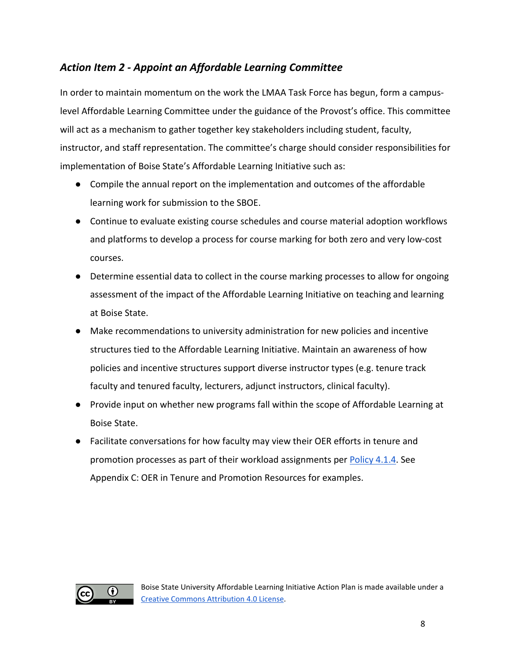## *Action Item 2 - Appoint an Affordable Learning Committee*

In order to maintain momentum on the work the LMAA Task Force has begun, form a campuslevel Affordable Learning Committee under the guidance of the Provost's office. This committee will act as a mechanism to gather together key stakeholders including student, faculty, instructor, and staff representation. The committee's charge should consider responsibilities for implementation of Boise State's Affordable Learning Initiative such as:

- Compile the annual report on the implementation and outcomes of the affordable learning work for submission to the SBOE.
- Continue to evaluate existing course schedules and course material adoption workflows and platforms to develop a process for course marking for both zero and very low-cost courses.
- Determine essential data to collect in the course marking processes to allow for ongoing assessment of the impact of the Affordable Learning Initiative on teaching and learning at Boise State.
- Make recommendations to university administration for new policies and incentive structures tied to the Affordable Learning Initiative. Maintain an awareness of how policies and incentive structures support diverse instructor types (e.g. tenure track faculty and tenured faculty, lecturers, adjunct instructors, clinical faculty).
- Provide input on whether new programs fall within the scope of Affordable Learning at Boise State.
- Facilitate conversations for how faculty may view their OER efforts in tenure and promotion processes as part of their workload assignments per [Policy 4.1.4.](https://www.boisestate.edu/policy/academic-affairs-faculty-administration/policy-title-faculty-promotion-guidelines/) See Appendix C: OER in Tenure and Promotion Resources for examples.

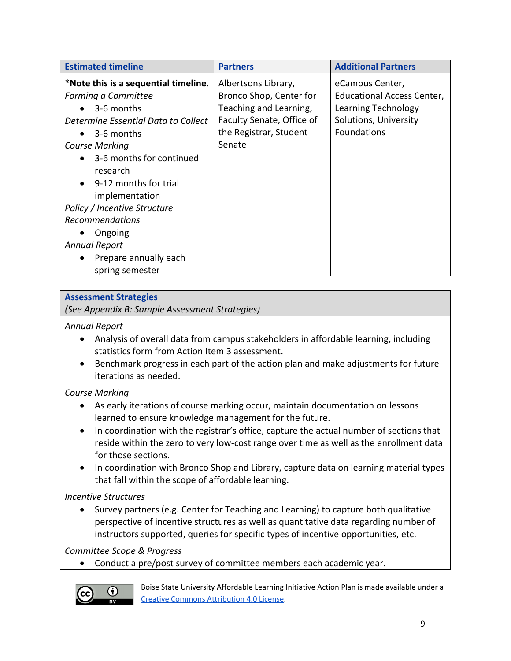| <b>Estimated timeline</b>                                                                                                                                                                                                                       | <b>Partners</b>                                                                                                                           | <b>Additional Partners</b>                                                                                          |
|-------------------------------------------------------------------------------------------------------------------------------------------------------------------------------------------------------------------------------------------------|-------------------------------------------------------------------------------------------------------------------------------------------|---------------------------------------------------------------------------------------------------------------------|
| *Note this is a sequential timeline.<br>Forming a Committee<br>3-6 months<br>Determine Essential Data to Collect<br>$\bullet$ 3-6 months<br><b>Course Marking</b><br>3-6 months for continued<br>$\bullet$<br>research<br>9-12 months for trial | Albertsons Library,<br>Bronco Shop, Center for<br>Teaching and Learning,<br>Faculty Senate, Office of<br>the Registrar, Student<br>Senate | eCampus Center,<br><b>Educational Access Center,</b><br>Learning Technology<br>Solutions, University<br>Foundations |
| implementation<br>Policy / Incentive Structure<br><b>Recommendations</b><br>Ongoing<br><b>Annual Report</b><br>Prepare annually each<br>$\bullet$<br>spring semester                                                                            |                                                                                                                                           |                                                                                                                     |

#### **Assessment Strategies**

*(See Appendix B: Sample Assessment Strategies)*

*Annual Report*

- Analysis of overall data from campus stakeholders in affordable learning, including statistics form from Action Item 3 assessment.
- Benchmark progress in each part of the action plan and make adjustments for future iterations as needed.

#### *Course Marking*

- As early iterations of course marking occur, maintain documentation on lessons learned to ensure knowledge management for the future.
- In coordination with the registrar's office, capture the actual number of sections that reside within the zero to very low-cost range over time as well as the enrollment data for those sections.
- In coordination with Bronco Shop and Library, capture data on learning material types that fall within the scope of affordable learning.

#### *Incentive Structures*

• Survey partners (e.g. Center for Teaching and Learning) to capture both qualitative perspective of incentive structures as well as quantitative data regarding number of instructors supported, queries for specific types of incentive opportunities, etc.

*Committee Scope & Progress*

• Conduct a pre/post survey of committee members each academic year.

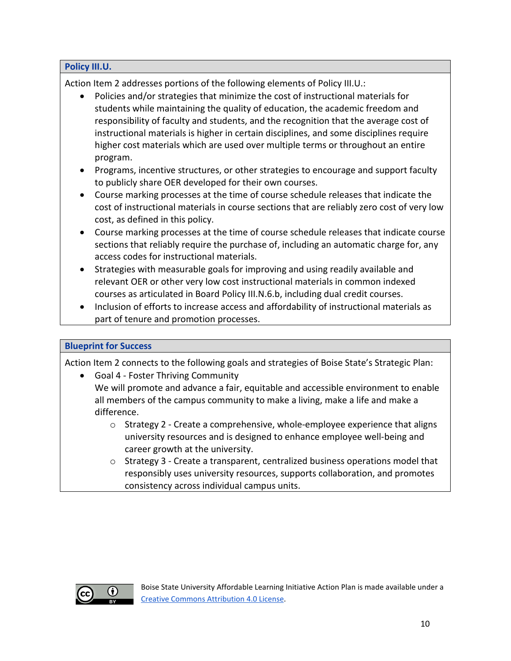Action Item 2 addresses portions of the following elements of Policy III.U.:

- Policies and/or strategies that minimize the cost of instructional materials for students while maintaining the quality of education, the academic freedom and responsibility of faculty and students, and the recognition that the average cost of instructional materials is higher in certain disciplines, and some disciplines require higher cost materials which are used over multiple terms or throughout an entire program.
- Programs, incentive structures, or other strategies to encourage and support faculty to publicly share OER developed for their own courses.
- Course marking processes at the time of course schedule releases that indicate the cost of instructional materials in course sections that are reliably zero cost of very low cost, as defined in this policy.
- Course marking processes at the time of course schedule releases that indicate course sections that reliably require the purchase of, including an automatic charge for, any access codes for instructional materials.
- Strategies with measurable goals for improving and using readily available and relevant OER or other very low cost instructional materials in common indexed courses as articulated in Board Policy III.N.6.b, including dual credit courses.
- Inclusion of efforts to increase access and affordability of instructional materials as part of tenure and promotion processes.

#### **Blueprint for Success**

**Policy III.U.**

Action Item 2 connects to the following goals and strategies of Boise State's Strategic Plan:

• Goal 4 - Foster Thriving Community

We will promote and advance a fair, equitable and accessible environment to enable all members of the campus community to make a living, make a life and make a difference.

- $\circ$  Strategy 2 Create a comprehensive, whole-employee experience that aligns university resources and is designed to enhance employee well-being and career growth at the university.
- $\circ$  Strategy 3 Create a transparent, centralized business operations model that responsibly uses university resources, supports collaboration, and promotes consistency across individual campus units.

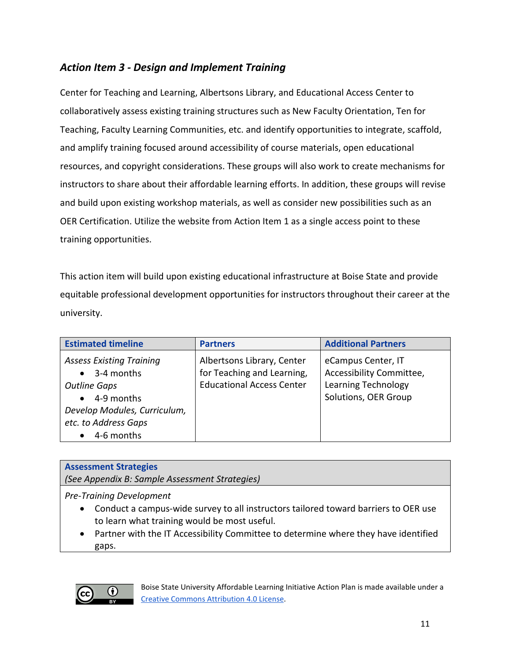## *Action Item 3 - Design and Implement Training*

Center for Teaching and Learning, Albertsons Library, and Educational Access Center to collaboratively assess existing training structures such as New Faculty Orientation, Ten for Teaching, Faculty Learning Communities, etc. and identify opportunities to integrate, scaffold, and amplify training focused around accessibility of course materials, open educational resources, and copyright considerations. These groups will also work to create mechanisms for instructors to share about their affordable learning efforts. In addition, these groups will revise and build upon existing workshop materials, as well as consider new possibilities such as an OER Certification. Utilize the website from Action Item 1 as a single access point to these training opportunities.

This action item will build upon existing educational infrastructure at Boise State and provide equitable professional development opportunities for instructors throughout their career at the university.

| <b>Estimated timeline</b>                                                                                                                                | <b>Partners</b>                                                                              | <b>Additional Partners</b>                                                                           |
|----------------------------------------------------------------------------------------------------------------------------------------------------------|----------------------------------------------------------------------------------------------|------------------------------------------------------------------------------------------------------|
| <b>Assess Existing Training</b><br>3-4 months<br><b>Outline Gaps</b><br>4-9 months<br>Develop Modules, Curriculum,<br>etc. to Address Gaps<br>4-6 months | Albertsons Library, Center<br>for Teaching and Learning,<br><b>Educational Access Center</b> | eCampus Center, IT<br>Accessibility Committee,<br><b>Learning Technology</b><br>Solutions, OER Group |

#### **Assessment Strategies**

*(See Appendix B: Sample Assessment Strategies)*

*Pre-Training Development*

- Conduct a campus-wide survey to all instructors tailored toward barriers to OER use to learn what training would be most useful.
- Partner with the IT Accessibility Committee to determine where they have identified gaps.

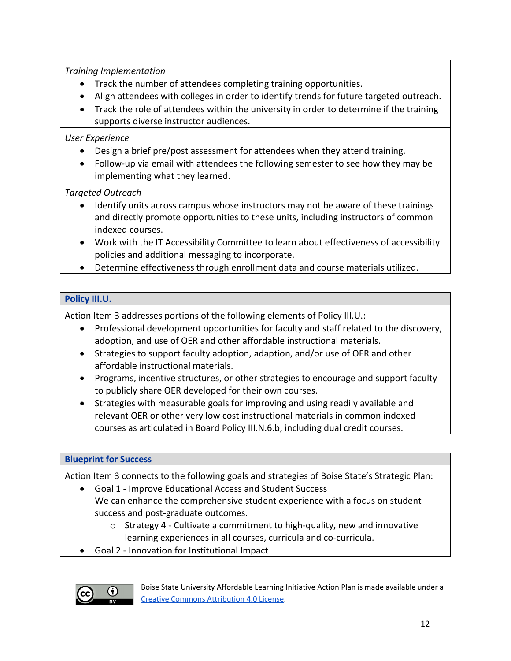*Training Implementation*

- Track the number of attendees completing training opportunities.
- Align attendees with colleges in order to identify trends for future targeted outreach.
- Track the role of attendees within the university in order to determine if the training supports diverse instructor audiences.

#### *User Experience*

- Design a brief pre/post assessment for attendees when they attend training.
- Follow-up via email with attendees the following semester to see how they may be implementing what they learned.

#### *Targeted Outreach*

- Identify units across campus whose instructors may not be aware of these trainings and directly promote opportunities to these units, including instructors of common indexed courses.
- Work with the IT Accessibility Committee to learn about effectiveness of accessibility policies and additional messaging to incorporate.
- Determine effectiveness through enrollment data and course materials utilized.

#### **Policy III.U.**

Action Item 3 addresses portions of the following elements of Policy III.U.:

- Professional development opportunities for faculty and staff related to the discovery, adoption, and use of OER and other affordable instructional materials.
- Strategies to support faculty adoption, adaption, and/or use of OER and other affordable instructional materials.
- Programs, incentive structures, or other strategies to encourage and support faculty to publicly share OER developed for their own courses.
- Strategies with measurable goals for improving and using readily available and relevant OER or other very low cost instructional materials in common indexed courses as articulated in Board Policy III.N.6.b, including dual credit courses.

#### **Blueprint for Success**

Action Item 3 connects to the following goals and strategies of Boise State's Strategic Plan:

- Goal 1 Improve Educational Access and Student Success We can enhance the comprehensive student experience with a focus on student success and post-graduate outcomes.
	- o Strategy 4 Cultivate a commitment to high-quality, new and innovative learning experiences in all courses, curricula and co-curricula.
- Goal 2 Innovation for Institutional Impact

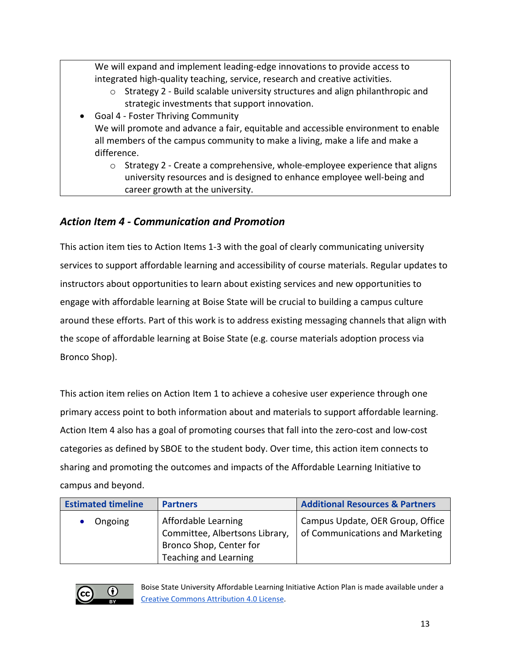We will expand and implement leading-edge innovations to provide access to integrated high-quality teaching, service, research and creative activities.

o Strategy 2 - Build scalable university structures and align philanthropic and strategic investments that support innovation.

• Goal 4 - Foster Thriving Community We will promote and advance a fair, equitable and accessible environment to enable all members of the campus community to make a living, make a life and make a difference.

 $\circ$  Strategy 2 - Create a comprehensive, whole-employee experience that aligns university resources and is designed to enhance employee well-being and career growth at the university.

## *Action Item 4 - Communication and Promotion*

This action item ties to Action Items 1-3 with the goal of clearly communicating university services to support affordable learning and accessibility of course materials. Regular updates to instructors about opportunities to learn about existing services and new opportunities to engage with affordable learning at Boise State will be crucial to building a campus culture around these efforts. Part of this work is to address existing messaging channels that align with the scope of affordable learning at Boise State (e.g. course materials adoption process via Bronco Shop).

This action item relies on Action Item 1 to achieve a cohesive user experience through one primary access point to both information about and materials to support affordable learning. Action Item 4 also has a goal of promoting courses that fall into the zero-cost and low-cost categories as defined by SBOE to the student body. Over time, this action item connects to sharing and promoting the outcomes and impacts of the Affordable Learning Initiative to campus and beyond.

| <b>Estimated timeline</b> | <b>Partners</b>                                                                                           | <b>Additional Resources &amp; Partners</b>                          |
|---------------------------|-----------------------------------------------------------------------------------------------------------|---------------------------------------------------------------------|
| Ongoing                   | Affordable Learning<br>Committee, Albertsons Library,<br>Bronco Shop, Center for<br>Teaching and Learning | Campus Update, OER Group, Office<br>of Communications and Marketing |

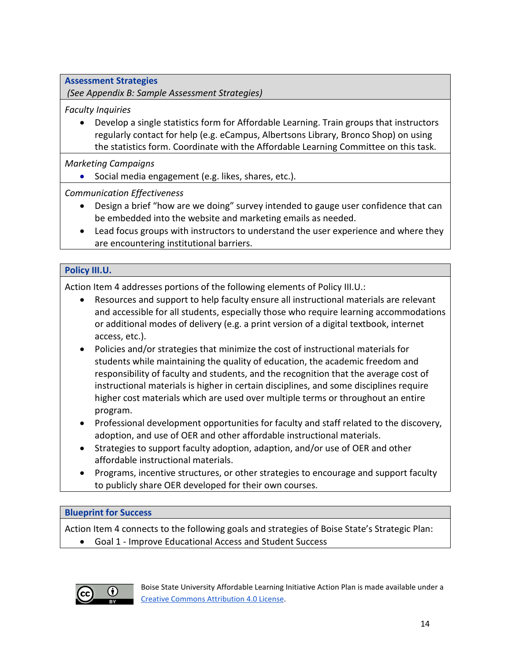**Assessment Strategies**

*(See Appendix B: Sample Assessment Strategies)*

*Faculty Inquiries*

• Develop a single statistics form for Affordable Learning. Train groups that instructors regularly contact for help (e.g. eCampus, Albertsons Library, Bronco Shop) on using the statistics form. Coordinate with the Affordable Learning Committee on this task.

*Marketing Campaigns*

• Social media engagement (e.g. likes, shares, etc.).

*Communication Effectiveness*

- Design a brief "how are we doing" survey intended to gauge user confidence that can be embedded into the website and marketing emails as needed.
- Lead focus groups with instructors to understand the user experience and where they are encountering institutional barriers.

#### **Policy III.U.**

Action Item 4 addresses portions of the following elements of Policy III.U.:

- Resources and support to help faculty ensure all instructional materials are relevant and accessible for all students, especially those who require learning accommodations or additional modes of delivery (e.g. a print version of a digital textbook, internet access, etc.).
- Policies and/or strategies that minimize the cost of instructional materials for students while maintaining the quality of education, the academic freedom and responsibility of faculty and students, and the recognition that the average cost of instructional materials is higher in certain disciplines, and some disciplines require higher cost materials which are used over multiple terms or throughout an entire program.
- Professional development opportunities for faculty and staff related to the discovery, adoption, and use of OER and other affordable instructional materials.
- Strategies to support faculty adoption, adaption, and/or use of OER and other affordable instructional materials.
- Programs, incentive structures, or other strategies to encourage and support faculty to publicly share OER developed for their own courses.

#### **Blueprint for Success**

Action Item 4 connects to the following goals and strategies of Boise State's Strategic Plan:

• Goal 1 - Improve Educational Access and Student Success

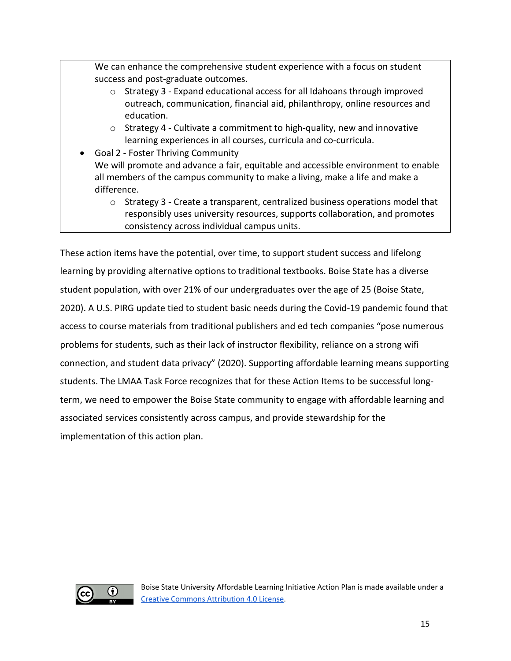We can enhance the comprehensive student experience with a focus on student success and post-graduate outcomes.

- o Strategy 3 Expand educational access for all Idahoans through improved outreach, communication, financial aid, philanthropy, online resources and education.
- o Strategy 4 Cultivate a commitment to high-quality, new and innovative learning experiences in all courses, curricula and co-curricula.
- Goal 2 Foster Thriving Community We will promote and advance a fair, equitable and accessible environment to enable all members of the campus community to make a living, make a life and make a difference.
	- o Strategy 3 Create a transparent, centralized business operations model that responsibly uses university resources, supports collaboration, and promotes consistency across individual campus units.

These action items have the potential, over time, to support student success and lifelong learning by providing alternative options to traditional textbooks. Boise State has a diverse student population, with over 21% of our undergraduates over the age of 25 (Boise State, 2020). A U.S. PIRG update tied to student basic needs during the Covid-19 pandemic found that access to course materials from traditional publishers and ed tech companies "pose numerous problems for students, such as their lack of instructor flexibility, reliance on a strong wifi connection, and student data privacy" (2020). Supporting affordable learning means supporting students. The LMAA Task Force recognizes that for these Action Items to be successful longterm, we need to empower the Boise State community to engage with affordable learning and associated services consistently across campus, and provide stewardship for the implementation of this action plan.

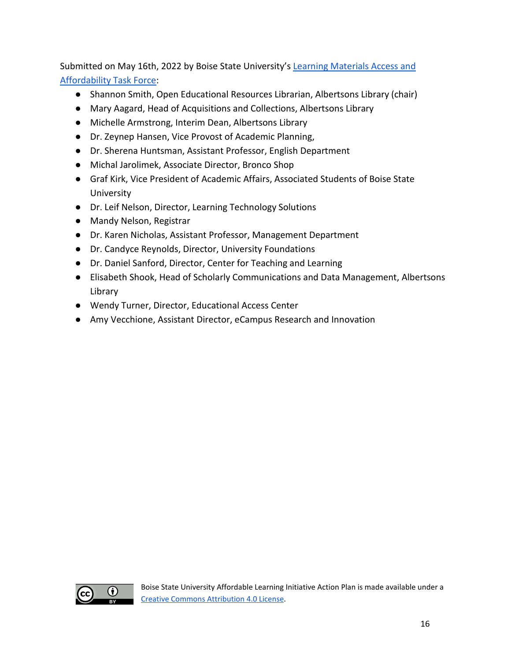Submitted on May 16th, 2022 by Boise State University's [Learning Materials Access and](https://www.boisestate.edu/library/about-the-library/learning-materials-access-and-affordability-task-force/)  [Affordability Task Force:](https://www.boisestate.edu/library/about-the-library/learning-materials-access-and-affordability-task-force/)

- Shannon Smith, Open Educational Resources Librarian, Albertsons Library (chair)
- Mary Aagard, Head of Acquisitions and Collections, Albertsons Library
- Michelle Armstrong, Interim Dean, Albertsons Library
- Dr. Zeynep Hansen, Vice Provost of Academic Planning,
- Dr. Sherena Huntsman, Assistant Professor, English Department
- Michal Jarolimek, Associate Director, Bronco Shop
- Graf Kirk, Vice President of Academic Affairs, Associated Students of Boise State University
- Dr. Leif Nelson, Director, Learning Technology Solutions
- Mandy Nelson, Registrar
- Dr. Karen Nicholas, Assistant Professor, Management Department
- Dr. Candyce Reynolds, Director, University Foundations
- Dr. Daniel Sanford, Director, Center for Teaching and Learning
- Elisabeth Shook, Head of Scholarly Communications and Data Management, Albertsons Library
- Wendy Turner, Director, Educational Access Center
- Amy Vecchione, Assistant Director, eCampus Research and Innovation

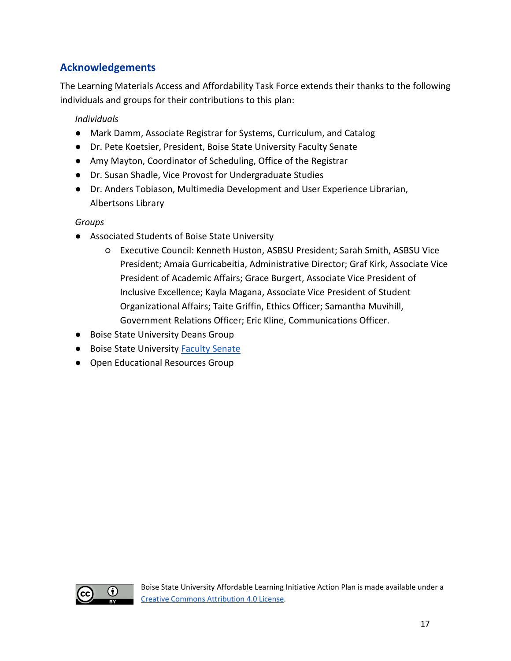## **Acknowledgements**

The Learning Materials Access and Affordability Task Force extends their thanks to the following individuals and groups for their contributions to this plan:

#### *Individuals*

- Mark Damm, Associate Registrar for Systems, Curriculum, and Catalog
- Dr. Pete Koetsier, President, Boise State University Faculty Senate
- Amy Mayton, Coordinator of Scheduling, Office of the Registrar
- Dr. Susan Shadle, Vice Provost for Undergraduate Studies
- Dr. Anders Tobiason, Multimedia Development and User Experience Librarian, Albertsons Library

#### *Groups*

- Associated Students of Boise State University
	- Executive Council: Kenneth Huston, ASBSU President; Sarah Smith, ASBSU Vice President; Amaia Gurricabeitia, Administrative Director; Graf Kirk, Associate Vice President of Academic Affairs; Grace Burgert, Associate Vice President of Inclusive Excellence; Kayla Magana, Associate Vice President of Student Organizational Affairs; Taite Griffin, Ethics Officer; Samantha Muvihill, Government Relations Officer; Eric Kline, Communications Officer.
- Boise State University Deans Group
- Boise State University [Faculty Senate](https://www.boisestate.edu/academics-facultysenate/senators/)
- Open Educational Resources Group

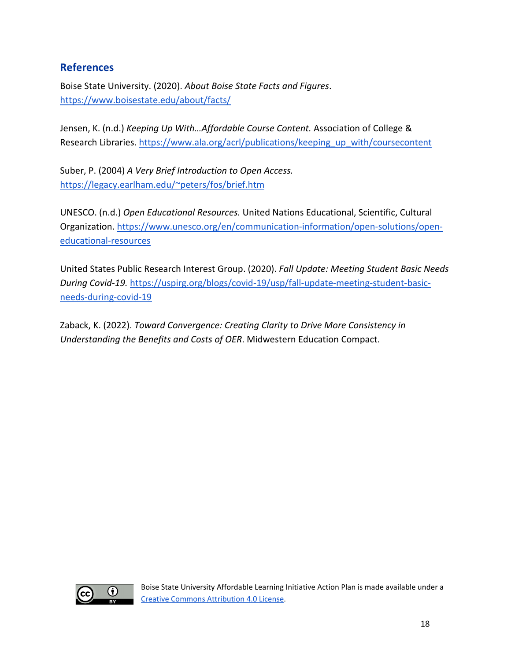### **References**

Boise State University. (2020). *About Boise State Facts and Figures*. <https://www.boisestate.edu/about/facts/>

Jensen, K. (n.d.) *Keeping Up With…Affordable Course Content.* Association of College & Research Libraries. [https://www.ala.org/acrl/publications/keeping\\_up\\_with/coursecontent](https://www.ala.org/acrl/publications/keeping_up_with/coursecontent) 

Suber, P. (2004) *A Very Brief Introduction to Open Access.*  [https://legacy.earlham.edu/~peters/fos/brief.htm](https://legacy.earlham.edu/%7Epeters/fos/brief.htm) 

UNESCO. (n.d.) *Open Educational Resources.* United Nations Educational, Scientific, Cultural Organization. [https://www.unesco.org/en/communication-information/open-solutions/open](https://www.unesco.org/en/communication-information/open-solutions/open-educational-resources)[educational-resources](https://www.unesco.org/en/communication-information/open-solutions/open-educational-resources) 

United States Public Research Interest Group. (2020). *Fall Update: Meeting Student Basic Needs During Covid-19.* [https://uspirg.org/blogs/covid-19/usp/fall-update-meeting-student-basic](https://uspirg.org/blogs/covid-19/usp/fall-update-meeting-student-basic-needs-during-covid-19)[needs-during-covid-19](https://uspirg.org/blogs/covid-19/usp/fall-update-meeting-student-basic-needs-during-covid-19) 

Zaback, K. (2022). *Toward Convergence: Creating Clarity to Drive More Consistency in Understanding the Benefits and Costs of OER*. Midwestern Education Compact.

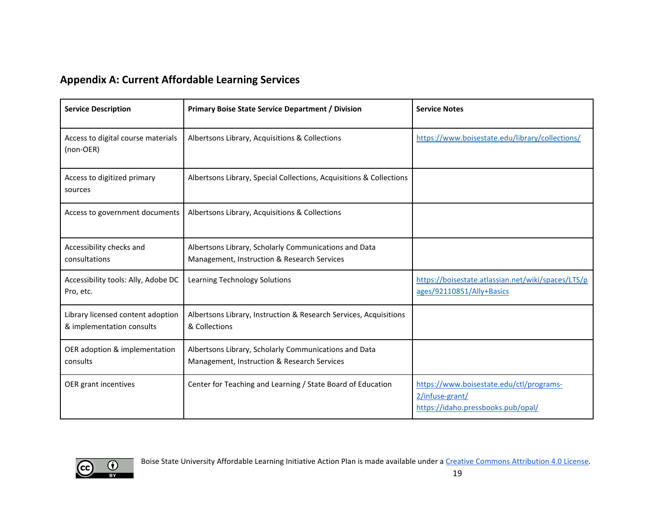## **Appendix A: Current Affordable Learning Services**

| <b>Service Description</b>                                     | Primary Boise State Service Department / Division                                                    | <b>Service Notes</b>                                                                              |
|----------------------------------------------------------------|------------------------------------------------------------------------------------------------------|---------------------------------------------------------------------------------------------------|
| Access to digital course materials<br>(non-OER)                | Albertsons Library, Acquisitions & Collections                                                       | https://www.boisestate.edu/library/collections/                                                   |
| Access to digitized primary<br>sources                         | Albertsons Library, Special Collections, Acquisitions & Collections                                  |                                                                                                   |
| Access to government documents                                 | Albertsons Library, Acquisitions & Collections                                                       |                                                                                                   |
| Accessibility checks and<br>consultations                      | Albertsons Library, Scholarly Communications and Data<br>Management, Instruction & Research Services |                                                                                                   |
| Accessibility tools: Ally, Adobe DC<br>Pro, etc.               | Learning Technology Solutions                                                                        | https://boisestate.atlassian.net/wiki/spaces/LTS/p<br>ages/92110851/Ally+Basics                   |
| Library licensed content adoption<br>& implementation consults | Albertsons Library, Instruction & Research Services, Acquisitions<br>& Collections                   |                                                                                                   |
| OER adoption & implementation<br>consults                      | Albertsons Library, Scholarly Communications and Data<br>Management, Instruction & Research Services |                                                                                                   |
| OER grant incentives                                           | Center for Teaching and Learning / State Board of Education                                          | https://www.boisestate.edu/ctl/programs-<br>2/infuse-grant/<br>https://idaho.pressbooks.pub/opal/ |

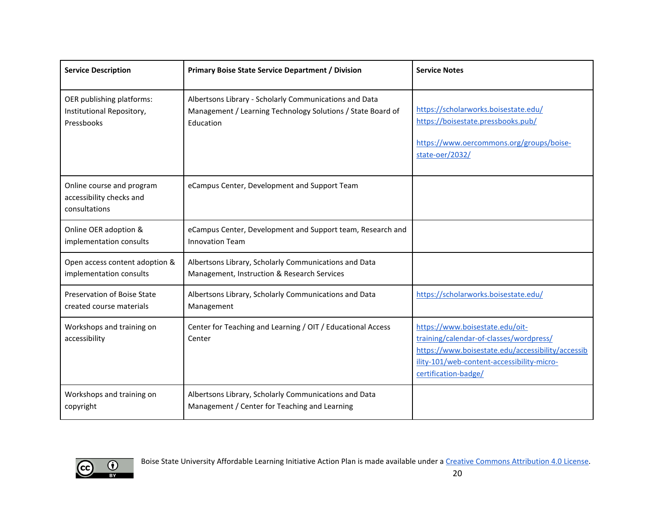| <b>Service Description</b>                                             | <b>Primary Boise State Service Department / Division</b>                                                                           | <b>Service Notes</b>                                                                                                                                                                                  |
|------------------------------------------------------------------------|------------------------------------------------------------------------------------------------------------------------------------|-------------------------------------------------------------------------------------------------------------------------------------------------------------------------------------------------------|
| OER publishing platforms:<br>Institutional Repository,<br>Pressbooks   | Albertsons Library - Scholarly Communications and Data<br>Management / Learning Technology Solutions / State Board of<br>Education | https://scholarworks.boisestate.edu/<br>https://boisestate.pressbooks.pub/<br>https://www.oercommons.org/groups/boise-<br>state-oer/2032/                                                             |
| Online course and program<br>accessibility checks and<br>consultations | eCampus Center, Development and Support Team                                                                                       |                                                                                                                                                                                                       |
| Online OER adoption &<br>implementation consults                       | eCampus Center, Development and Support team, Research and<br><b>Innovation Team</b>                                               |                                                                                                                                                                                                       |
| Open access content adoption &<br>implementation consults              | Albertsons Library, Scholarly Communications and Data<br>Management, Instruction & Research Services                               |                                                                                                                                                                                                       |
| Preservation of Boise State<br>created course materials                | Albertsons Library, Scholarly Communications and Data<br>Management                                                                | https://scholarworks.boisestate.edu/                                                                                                                                                                  |
| Workshops and training on<br>accessibility                             | Center for Teaching and Learning / OIT / Educational Access<br>Center                                                              | https://www.boisestate.edu/oit-<br>training/calendar-of-classes/wordpress/<br>https://www.boisestate.edu/accessibility/accessib<br>ility-101/web-content-accessibility-micro-<br>certification-badge/ |
| Workshops and training on<br>copyright                                 | Albertsons Library, Scholarly Communications and Data<br>Management / Center for Teaching and Learning                             |                                                                                                                                                                                                       |

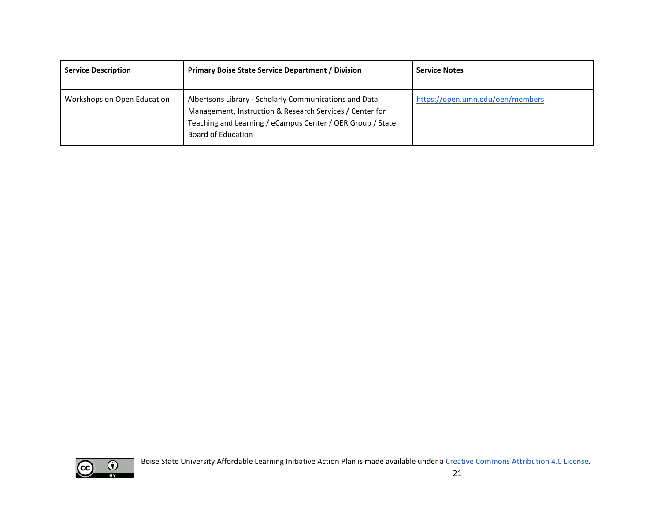| <b>Service Description</b>  | <b>Primary Boise State Service Department / Division</b>                                                                                                                                                      | <b>Service Notes</b>             |
|-----------------------------|---------------------------------------------------------------------------------------------------------------------------------------------------------------------------------------------------------------|----------------------------------|
| Workshops on Open Education | Albertsons Library - Scholarly Communications and Data<br>Management, Instruction & Research Services / Center for<br>Teaching and Learning / eCampus Center / OER Group / State<br><b>Board of Education</b> | https://open.umn.edu/oen/members |

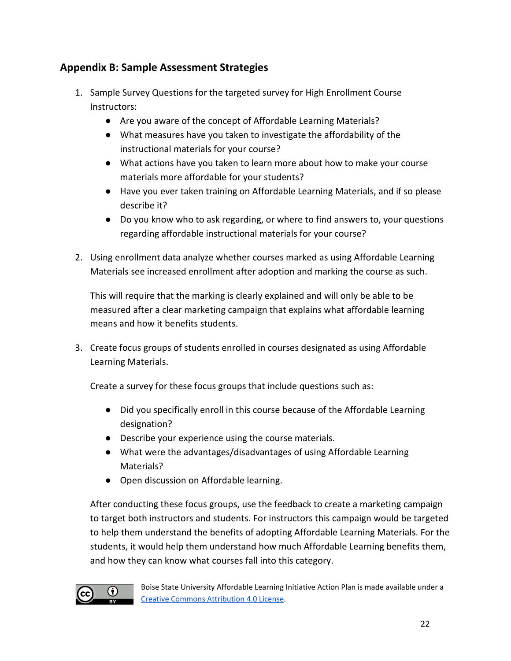## **Appendix B: Sample Assessment Strategies**

- 1. Sample Survey Questions for the targeted survey for High Enrollment Course Instructors:
	- Are you aware of the concept of Affordable Learning Materials?
	- What measures have you taken to investigate the affordability of the instructional materials for your course?
	- What actions have you taken to learn more about how to make your course materials more affordable for your students?
	- Have you ever taken training on Affordable Learning Materials, and if so please describe it?
	- Do you know who to ask regarding, or where to find answers to, your questions regarding affordable instructional materials for your course?
- 2. Using enrollment data analyze whether courses marked as using Affordable Learning Materials see increased enrollment after adoption and marking the course as such.

This will require that the marking is clearly explained and will only be able to be measured after a clear marketing campaign that explains what affordable learning means and how it benefits students.

3. Create focus groups of students enrolled in courses designated as using Affordable Learning Materials.

Create a survey for these focus groups that include questions such as:

- Did you specifically enroll in this course because of the Affordable Learning designation?
- Describe your experience using the course materials.
- What were the advantages/disadvantages of using Affordable Learning Materials?
- Open discussion on Affordable learning.

After conducting these focus groups, use the feedback to create a marketing campaign to target both instructors and students. For instructors this campaign would be targeted to help them understand the benefits of adopting Affordable Learning Materials. For the students, it would help them understand how much Affordable Learning benefits them, and how they can know what courses fall into this category.



Boise State University Affordable Learning Initiative Action Plan is made available under a [Creative Commons Attribution 4.0 License.](https://creativecommons.org/licenses/by/4.0/)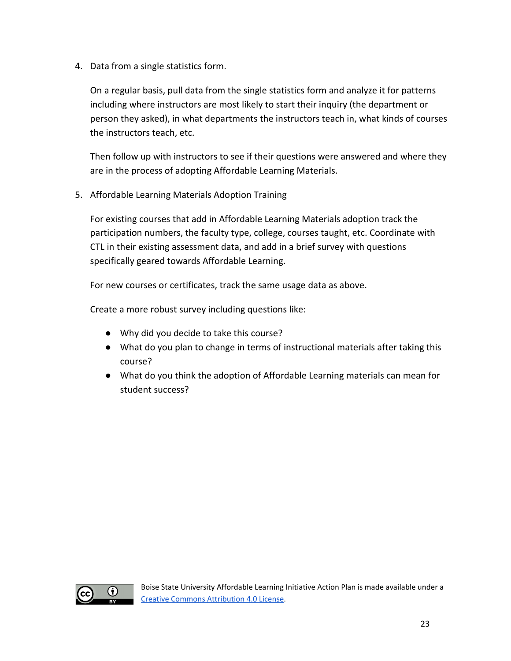4. Data from a single statistics form.

On a regular basis, pull data from the single statistics form and analyze it for patterns including where instructors are most likely to start their inquiry (the department or person they asked), in what departments the instructors teach in, what kinds of courses the instructors teach, etc.

Then follow up with instructors to see if their questions were answered and where they are in the process of adopting Affordable Learning Materials.

5. Affordable Learning Materials Adoption Training

For existing courses that add in Affordable Learning Materials adoption track the participation numbers, the faculty type, college, courses taught, etc. Coordinate with CTL in their existing assessment data, and add in a brief survey with questions specifically geared towards Affordable Learning.

For new courses or certificates, track the same usage data as above.

Create a more robust survey including questions like:

- Why did you decide to take this course?
- What do you plan to change in terms of instructional materials after taking this course?
- What do you think the adoption of Affordable Learning materials can mean for student success?